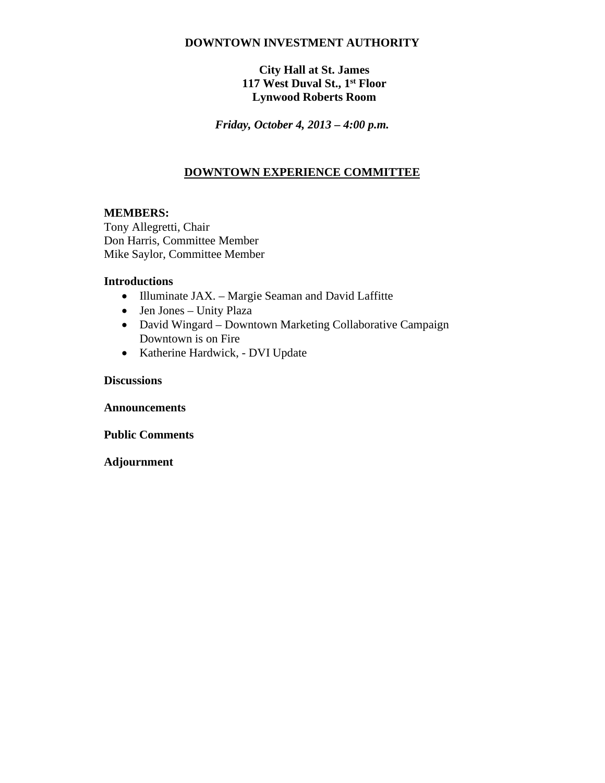### **DOWNTOWN INVESTMENT AUTHORITY**

## **City Hall at St. James 117 West Duval St., 1st Floor Lynwood Roberts Room**

*Friday, October 4, 2013 – 4:00 p.m.*

# **DOWNTOWN EXPERIENCE COMMITTEE**

### **MEMBERS:**

Tony Allegretti, Chair Don Harris, Committee Member Mike Saylor, Committee Member

#### **Introductions**

- Illuminate JAX. Margie Seaman and David Laffitte
- Jen Jones Unity Plaza
- David Wingard Downtown Marketing Collaborative Campaign Downtown is on Fire
- Katherine Hardwick, DVI Update

#### **Discussions**

**Announcements**

**Public Comments**

**Adjournment**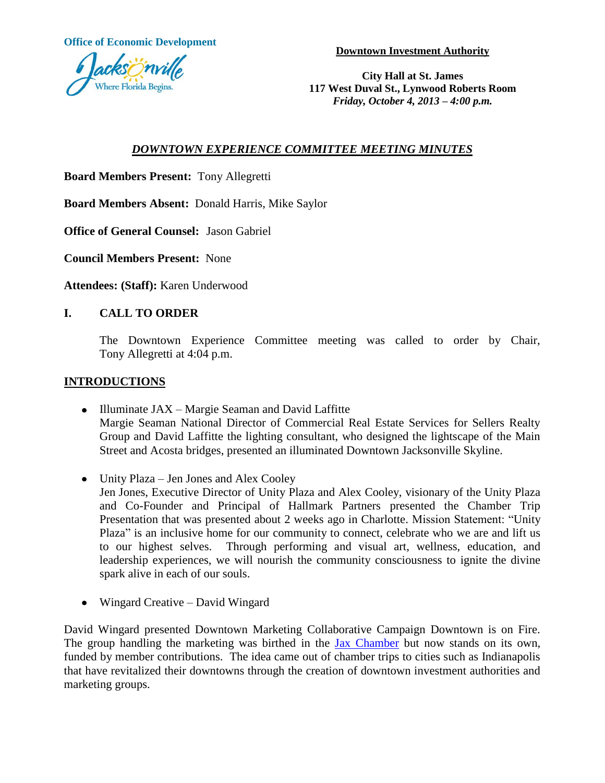**Office of Economic Development**

**Downtown Investment Authority**



**City Hall at St. James 117 West Duval St., Lynwood Roberts Room** *Friday, October 4, 2013 – 4:00 p.m.*

# *DOWNTOWN EXPERIENCE COMMITTEE MEETING MINUTES*

**Board Members Present:** Tony Allegretti

**Board Members Absent:** Donald Harris, Mike Saylor

**Office of General Counsel:** Jason Gabriel

**Council Members Present:** None

**Attendees: (Staff):** Karen Underwood

## **I. CALL TO ORDER**

The Downtown Experience Committee meeting was called to order by Chair, Tony Allegretti at 4:04 p.m.

### **INTRODUCTIONS**

- Illuminate JAX Margie Seaman and David Laffitte Margie Seaman National Director of Commercial Real Estate Services for Sellers Realty Group and David Laffitte the lighting consultant, who designed the lightscape of the Main Street and Acosta bridges, presented an illuminated Downtown Jacksonville Skyline.
- Unity Plaza Jen Jones and Alex Cooley Jen Jones, Executive Director of Unity Plaza and Alex Cooley, visionary of the Unity Plaza and Co-Founder and Principal of Hallmark Partners presented the Chamber Trip Presentation that was presented about 2 weeks ago in Charlotte. Mission Statement: "Unity Plaza" is an inclusive home for our community to connect, celebrate who we are and lift us to our highest selves. Through performing and visual art, wellness, education, and leadership experiences, we will nourish the community consciousness to ignite the divine spark alive in each of our souls.
- Wingard Creative David Wingard

David Wingard presented Downtown Marketing Collaborative Campaign Downtown is on Fire. The group handling the marketing was birthed in the [Jax Chamber](http://www.bizjournals.com/profiles/company/us/fl/jacksonville/jax_chamber/3330633) but now stands on its own, funded by member contributions. The idea came out of chamber trips to cities such as Indianapolis that have revitalized their downtowns through the creation of downtown investment authorities and marketing groups.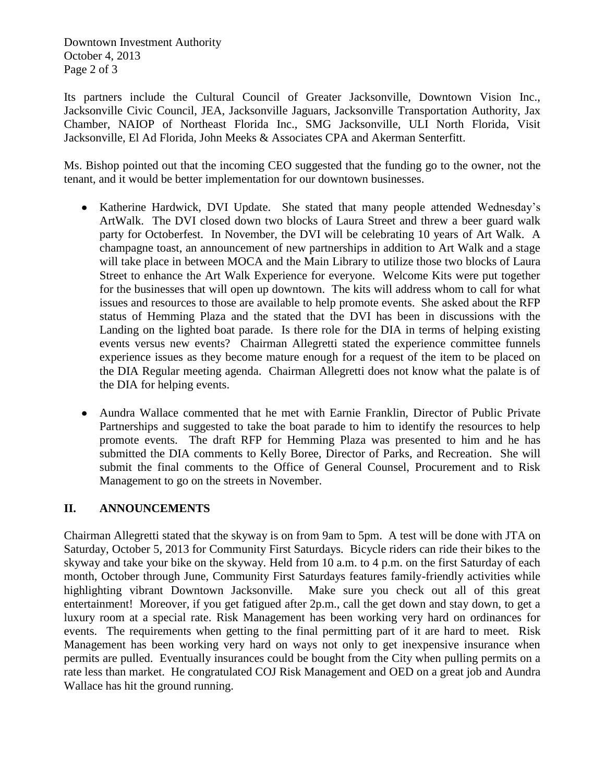Downtown Investment Authority October 4, 2013 Page 2 of 3

Its partners include the Cultural Council of Greater Jacksonville, Downtown Vision Inc., Jacksonville Civic Council, JEA, [Jacksonville Jaguars,](http://www.bizjournals.com/profiles/company/us/fl/jacksonville/jacksonville_jaguars/842845) Jacksonville Transportation Authority, Jax Chamber, NAIOP of Northeast Florida Inc., SMG Jacksonville, ULI North Florida, Visit Jacksonville, El Ad Florida, John Meeks & Associates CPA and [Akerman Senterfitt.](http://www.bizjournals.com/profiles/company/us/fl/jacksonville/akerman_senterfitt/3226074)

Ms. Bishop pointed out that the incoming CEO suggested that the funding go to the owner, not the tenant, and it would be better implementation for our downtown businesses.

- Katherine Hardwick, DVI Update. She stated that many people attended Wednesday's ArtWalk. The DVI closed down two blocks of Laura Street and threw a beer guard walk party for Octoberfest. In November, the DVI will be celebrating 10 years of Art Walk. A champagne toast, an announcement of new partnerships in addition to Art Walk and a stage will take place in between MOCA and the Main Library to utilize those two blocks of Laura Street to enhance the Art Walk Experience for everyone. Welcome Kits were put together for the businesses that will open up downtown. The kits will address whom to call for what issues and resources to those are available to help promote events. She asked about the RFP status of Hemming Plaza and the stated that the DVI has been in discussions with the Landing on the lighted boat parade. Is there role for the DIA in terms of helping existing events versus new events? Chairman Allegretti stated the experience committee funnels experience issues as they become mature enough for a request of the item to be placed on the DIA Regular meeting agenda. Chairman Allegretti does not know what the palate is of the DIA for helping events.
- Aundra Wallace commented that he met with Earnie Franklin, Director of Public Private  $\bullet$ Partnerships and suggested to take the boat parade to him to identify the resources to help promote events. The draft RFP for Hemming Plaza was presented to him and he has submitted the DIA comments to Kelly Boree, Director of Parks, and Recreation. She will submit the final comments to the Office of General Counsel, Procurement and to Risk Management to go on the streets in November.

## **II. ANNOUNCEMENTS**

Chairman Allegretti stated that the skyway is on from 9am to 5pm. A test will be done with JTA on Saturday, October 5, 2013 for Community First Saturdays. Bicycle riders can ride their bikes to the skyway and take your bike on the skyway. Held from 10 a.m. to 4 p.m. on the first Saturday of each month, October through June, Community First Saturdays features family-friendly activities while highlighting vibrant Downtown Jacksonville. Make sure you check out all of this great entertainment! Moreover, if you get fatigued after 2p.m., call the get down and stay down, to get a luxury room at a special rate. Risk Management has been working very hard on ordinances for events. The requirements when getting to the final permitting part of it are hard to meet. Risk Management has been working very hard on ways not only to get inexpensive insurance when permits are pulled. Eventually insurances could be bought from the City when pulling permits on a rate less than market. He congratulated COJ Risk Management and OED on a great job and Aundra Wallace has hit the ground running.